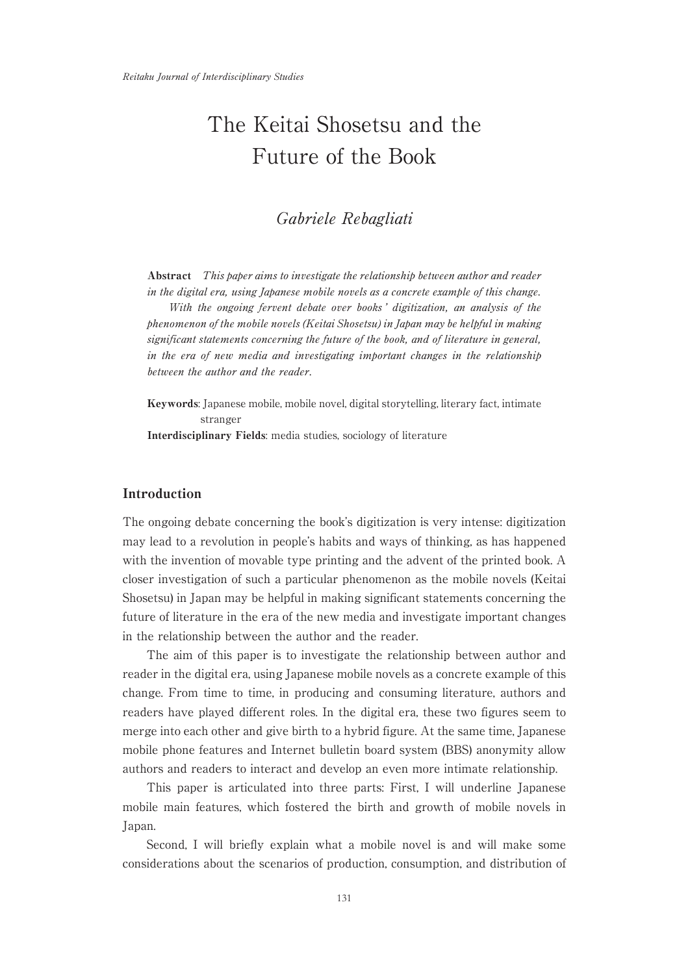# The Keitai Shosetsu and the Future of the Book

## Gabriele Rebagliati

Abstract This paper aims to investigate the relationship between author and reader in the digital era, using Japanese mobile novels as a concrete example of this change.

With the ongoing fervent debate over books ' digitization, an analysis of the phenomenon of the mobile novels (Keitai Shosetsu) in Japan may be helpful in making significant statements concerning the future of the book, and of literature in general, in the era of new media and investigating important changes in the relationship between the author and the reader.

Keywords: Japanese mobile, mobile novel, digital storytelling, literary fact, intimate stranger

Interdisciplinary Fields: media studies, sociology of literature

## Introduction

The ongoing debate concerning the book's digitization is very intense: digitization may lead to a revolution in people's habits and ways of thinking, as has happened with the invention of movable type printing and the advent of the printed book. A closer investigation of such a particular phenomenon as the mobile novels (Keitai Shosetsu) in Japan may be helpful in making significant statements concerning the future of literature in the era of the new media and investigate important changes in the relationship between the author and the reader.

The aim of this paper is to investigate the relationship between author and reader in the digital era, using Japanese mobile novels as a concrete example of this change. From time to time, in producing and consuming literature, authors and readers have played different roles. In the digital era, these two figures seem to merge into each other and give birth to a hybrid figure. At the same time, Japanese mobile phone features and Internet bulletin board system (BBS) anonymity allow authors and readers to interact and develop an even more intimate relationship.

This paper is articulated into three parts: First, I will underline Japanese mobile main features, which fostered the birth and growth of mobile novels in Japan.

Second, I will briefly explain what a mobile novel is and will make some considerations about the scenarios of production, consumption, and distribution of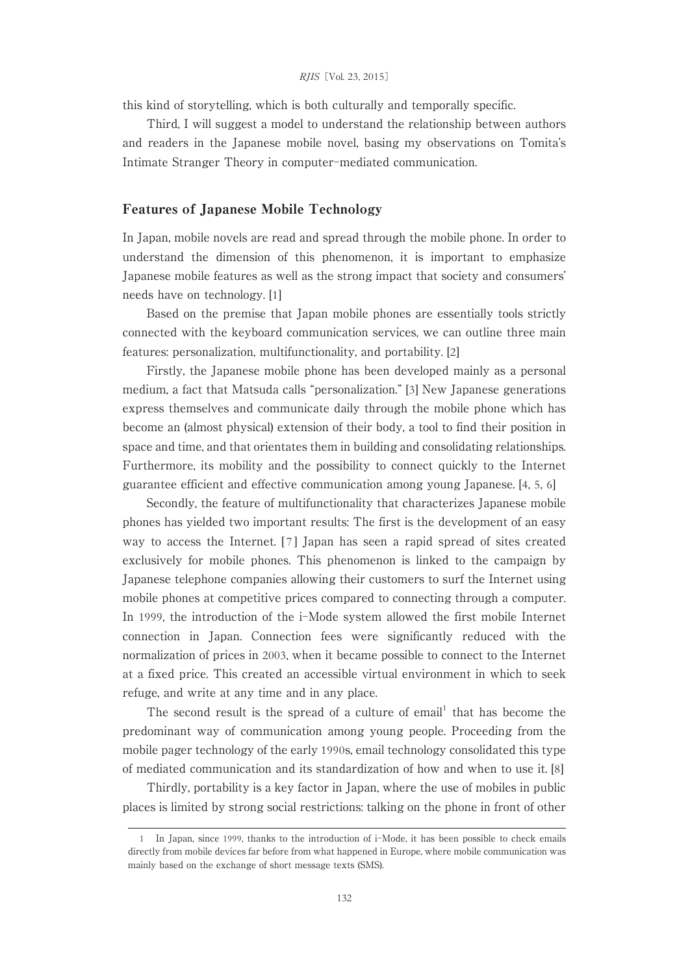#### RJIS [Vol. 23, 2015]

this kind of storytelling, which is both culturally and temporally specific.

Third, I will suggest a model to understand the relationship between authors and readers in the Japanese mobile novel, basing my observations on Tomita's Intimate Stranger Theory in computer-mediated communication.

#### Features of Japanese Mobile Technology

In Japan, mobile novels are read and spread through the mobile phone. In order to understand the dimension of this phenomenon, it is important to emphasize Japanese mobile features as well as the strong impact that society and consumers' needs have on technology. [1]

Based on the premise that Japan mobile phones are essentially tools strictly connected with the keyboard communication services, we can outline three main features: personalization, multifunctionality, and portability. [2]

Firstly, the Japanese mobile phone has been developed mainly as a personal medium, a fact that Matsuda calls "personalization." [3] New Japanese generations express themselves and communicate daily through the mobile phone which has become an (almost physical) extension of their body, a tool to find their position in space and time, and that orientates them in building and consolidating relationships. Furthermore, its mobility and the possibility to connect quickly to the Internet guarantee efficient and effective communication among young Japanese. [4, 5, 6]

Secondly, the feature of multifunctionality that characterizes Japanese mobile phones has yielded two important results: The first is the development of an easy way to access the Internet. [7] Japan has seen a rapid spread of sites created exclusively for mobile phones. This phenomenon is linked to the campaign by Japanese telephone companies allowing their customers to surf the Internet using mobile phones at competitive prices compared to connecting through a computer. In 1999, the introduction of the i-Mode system allowed the first mobile Internet connection in Japan. Connection fees were significantly reduced with the normalization of prices in 2003, when it became possible to connect to the Internet at a fixed price. This created an accessible virtual environment in which to seek refuge, and write at any time and in any place.

The second result is the spread of a culture of email<sup>1</sup> that has become the predominant way of communication among young people. Proceeding from the mobile pager technology of the early 1990s, email technology consolidated this type of mediated communication and its standardization of how and when to use it. [8]

Thirdly, portability is a key factor in Japan, where the use of mobiles in public places is limited by strong social restrictions: talking on the phone in front of other

<sup>1</sup> In Japan, since 1999, thanks to the introduction of i-Mode, it has been possible to check emails directly from mobile devices far before from what happened in Europe, where mobile communication was mainly based on the exchange of short message texts (SMS).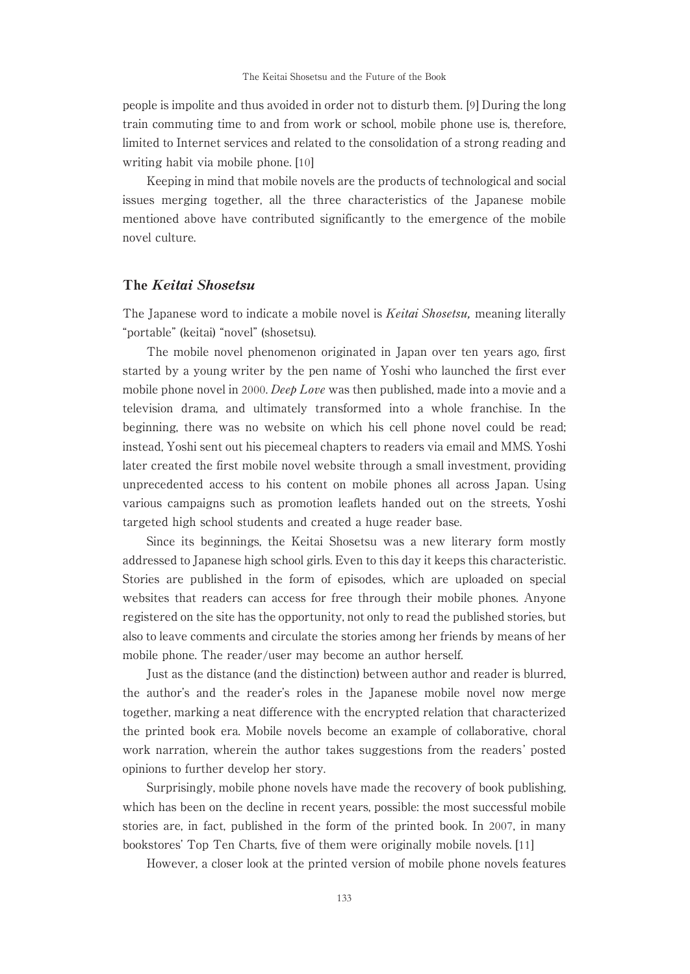people is impolite and thus avoided in order not to disturb them. [9] During the long train commuting time to and from work or school, mobile phone use is, therefore, limited to Internet services and related to the consolidation of a strong reading and writing habit via mobile phone. [10]

Keeping in mind that mobile novels are the products of technological and social issues merging together, all the three characteristics of the Japanese mobile mentioned above have contributed significantly to the emergence of the mobile novel culture.

## The Keitai Shosetsu

The Japanese word to indicate a mobile novel is *Keitai Shosetsu*, meaning literally "portable" (keitai) "novel" (shosetsu).

The mobile novel phenomenon originated in Japan over ten years ago, first started by a young writer by the pen name of Yoshi who launched the first ever mobile phone novel in 2000. Deep Love was then published, made into a movie and a television drama, and ultimately transformed into a whole franchise. In the beginning, there was no website on which his cell phone novel could be read; instead, Yoshi sent out his piecemeal chapters to readers via email and MMS. Yoshi later created the first mobile novel website through a small investment, providing unprecedented access to his content on mobile phones all across Japan. Using various campaigns such as promotion leaflets handed out on the streets, Yoshi targeted high school students and created a huge reader base.

Since its beginnings, the Keitai Shosetsu was a new literary form mostly addressed to Japanese high school girls. Even to this day it keeps this characteristic. Stories are published in the form of episodes, which are uploaded on special websites that readers can access for free through their mobile phones. Anyone registered on the site has the opportunity, not only to read the published stories, but also to leave comments and circulate the stories among her friends by means of her mobile phone. The reader/user may become an author herself.

Just as the distance (and the distinction) between author and reader is blurred, the author's and the reader's roles in the Japanese mobile novel now merge together, marking a neat difference with the encrypted relation that characterized the printed book era. Mobile novels become an example of collaborative, choral work narration, wherein the author takes suggestions from the readers' posted opinions to further develop her story.

Surprisingly, mobile phone novels have made the recovery of book publishing, which has been on the decline in recent years, possible: the most successful mobile stories are, in fact, published in the form of the printed book. In 2007, in many bookstores' Top Ten Charts, five of them were originally mobile novels. [11]

However, a closer look at the printed version of mobile phone novels features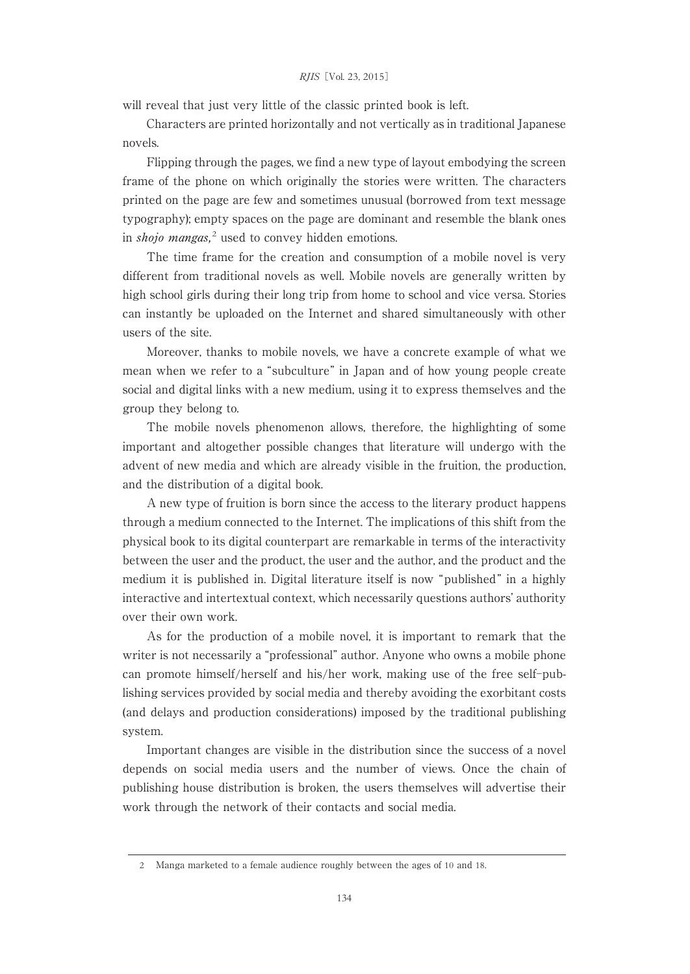will reveal that just very little of the classic printed book is left.

Characters are printed horizontally and not vertically as in traditional Japanese novels.

Flipping through the pages, we find a new type of layout embodying the screen frame of the phone on which originally the stories were written. The characters printed on the page are few and sometimes unusual (borrowed from text message typography); empty spaces on the page are dominant and resemble the blank ones in *shojo mangas*,<sup>2</sup> used to convey hidden emotions.

The time frame for the creation and consumption of a mobile novel is very different from traditional novels as well. Mobile novels are generally written by high school girls during their long trip from home to school and vice versa. Stories can instantly be uploaded on the Internet and shared simultaneously with other users of the site.

Moreover, thanks to mobile novels, we have a concrete example of what we mean when we refer to a "subculture" in Japan and of how young people create social and digital links with a new medium, using it to express themselves and the group they belong to.

The mobile novels phenomenon allows, therefore, the highlighting of some important and altogether possible changes that literature will undergo with the advent of new media and which are already visible in the fruition, the production, and the distribution of a digital book.

A new type of fruition is born since the access to the literary product happens through a medium connected to the Internet. The implications of this shift from the physical book to its digital counterpart are remarkable in terms of the interactivity between the user and the product, the user and the author, and the product and the medium it is published in. Digital literature itself is now "published" in a highly interactive and intertextual context, which necessarily questions authors' authority over their own work.

As for the production of a mobile novel, it is important to remark that the writer is not necessarily a "professional" author. Anyone who owns a mobile phone can promote himself/herself and his/her work, making use of the free self-publishing services provided by social media and thereby avoiding the exorbitant costs (and delays and production considerations) imposed by the traditional publishing system.

Important changes are visible in the distribution since the success of a novel depends on social media users and the number of views. Once the chain of publishing house distribution is broken, the users themselves will advertise their work through the network of their contacts and social media.

<sup>2</sup> Manga marketed to a female audience roughly between the ages of 10 and 18.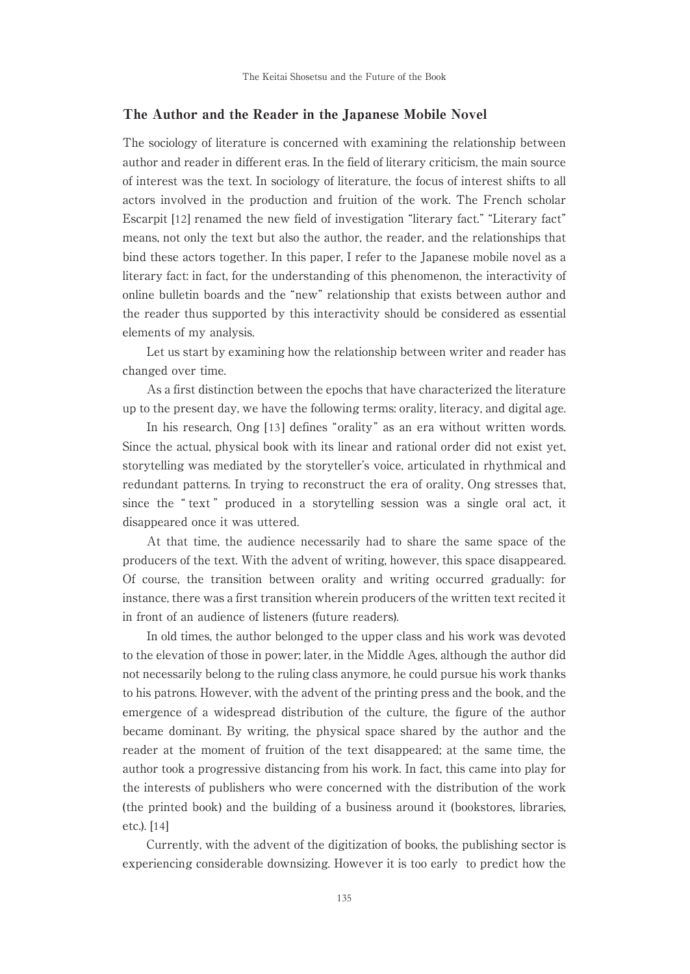## The Author and the Reader in the Japanese Mobile Novel

The sociology of literature is concerned with examining the relationship between author and reader in different eras. In the field of literary criticism, the main source of interest was the text. In sociology of literature, the focus of interest shifts to all actors involved in the production and fruition of the work. The French scholar Escarpit [12] renamed the new field of investigation "literary fact." "Literary fact" means, not only the text but also the author, the reader, and the relationships that bind these actors together. In this paper, I refer to the Japanese mobile novel as a literary fact: in fact, for the understanding of this phenomenon, the interactivity of online bulletin boards and the "new" relationship that exists between author and the reader thus supported by this interactivity should be considered as essential elements of my analysis.

Let us start by examining how the relationship between writer and reader has changed over time.

As a first distinction between the epochs that have characterized the literature up to the present day, we have the following terms: orality, literacy, and digital age.

In his research, Ong [13] defines "orality" as an era without written words. Since the actual, physical book with its linear and rational order did not exist yet, storytelling was mediated by the storyteller's voice, articulated in rhythmical and redundant patterns. In trying to reconstruct the era of orality, Ong stresses that, since the " text " produced in a storytelling session was a single oral act, it disappeared once it was uttered.

At that time, the audience necessarily had to share the same space of the producers of the text. With the advent of writing, however, this space disappeared. Of course, the transition between orality and writing occurred gradually: for instance, there was a first transition wherein producers of the written text recited it in front of an audience of listeners (future readers).

In old times, the author belonged to the upper class and his work was devoted to the elevation of those in power; later, in the Middle Ages, although the author did not necessarily belong to the ruling class anymore, he could pursue his work thanks to his patrons. However, with the advent of the printing press and the book, and the emergence of a widespread distribution of the culture, the figure of the author became dominant. By writing, the physical space shared by the author and the reader at the moment of fruition of the text disappeared; at the same time, the author took a progressive distancing from his work. In fact, this came into play for the interests of publishers who were concerned with the distribution of the work (the printed book) and the building of a business around it (bookstores, libraries, etc.). [14]

Currently, with the advent of the digitization of books, the publishing sector is experiencing considerable downsizing. However it is too early to predict how the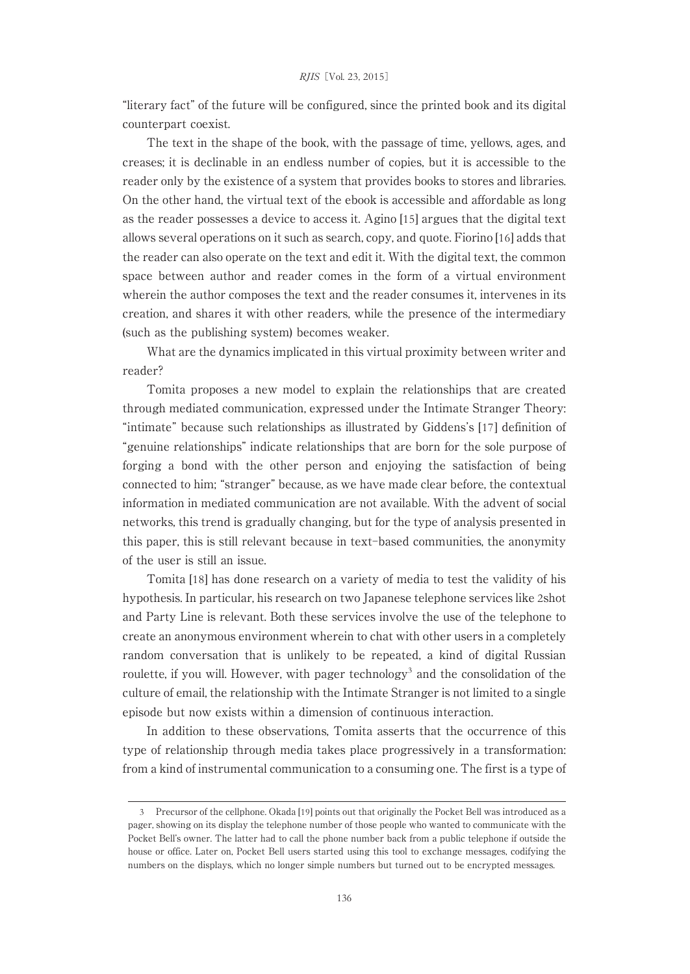"literary fact" of the future will be configured, since the printed book and its digital counterpart coexist.

The text in the shape of the book, with the passage of time, yellows, ages, and creases; it is declinable in an endless number of copies, but it is accessible to the reader only by the existence of a system that provides books to stores and libraries. On the other hand, the virtual text of the ebook is accessible and affordable as long as the reader possesses a device to access it. Agino [15] argues that the digital text allows several operations on it such as search, copy, and quote. Fiorino [16] adds that the reader can also operate on the text and edit it. With the digital text, the common space between author and reader comes in the form of a virtual environment wherein the author composes the text and the reader consumes it, intervenes in its creation, and shares it with other readers, while the presence of the intermediary (such as the publishing system) becomes weaker.

What are the dynamics implicated in this virtual proximity between writer and reader?

Tomita proposes a new model to explain the relationships that are created through mediated communication, expressed under the Intimate Stranger Theory: "intimate" because such relationships as illustrated by Giddens's [17] definition of "genuine relationships" indicate relationships that are born for the sole purpose of forging a bond with the other person and enjoying the satisfaction of being connected to him; "stranger" because, as we have made clear before, the contextual information in mediated communication are not available. With the advent of social networks, this trend is gradually changing, but for the type of analysis presented in this paper, this is still relevant because in text-based communities, the anonymity of the user is still an issue.

Tomita [18] has done research on a variety of media to test the validity of his hypothesis. In particular, his research on two Japanese telephone services like 2shot and Party Line is relevant. Both these services involve the use of the telephone to create an anonymous environment wherein to chat with other users in a completely random conversation that is unlikely to be repeated, a kind of digital Russian roulette, if you will. However, with pager technology<sup>3</sup> and the consolidation of the culture of email, the relationship with the Intimate Stranger is not limited to a single episode but now exists within a dimension of continuous interaction.

In addition to these observations, Tomita asserts that the occurrence of this type of relationship through media takes place progressively in a transformation: from a kind of instrumental communication to a consuming one. The first is a type of

<sup>3</sup> Precursor of the cellphone. Okada [19] points out that originally the Pocket Bell was introduced as a pager, showing on its display the telephone number of those people who wanted to communicate with the Pocket Bell's owner. The latter had to call the phone number back from a public telephone if outside the house or office. Later on, Pocket Bell users started using this tool to exchange messages, codifying the numbers on the displays, which no longer simple numbers but turned out to be encrypted messages.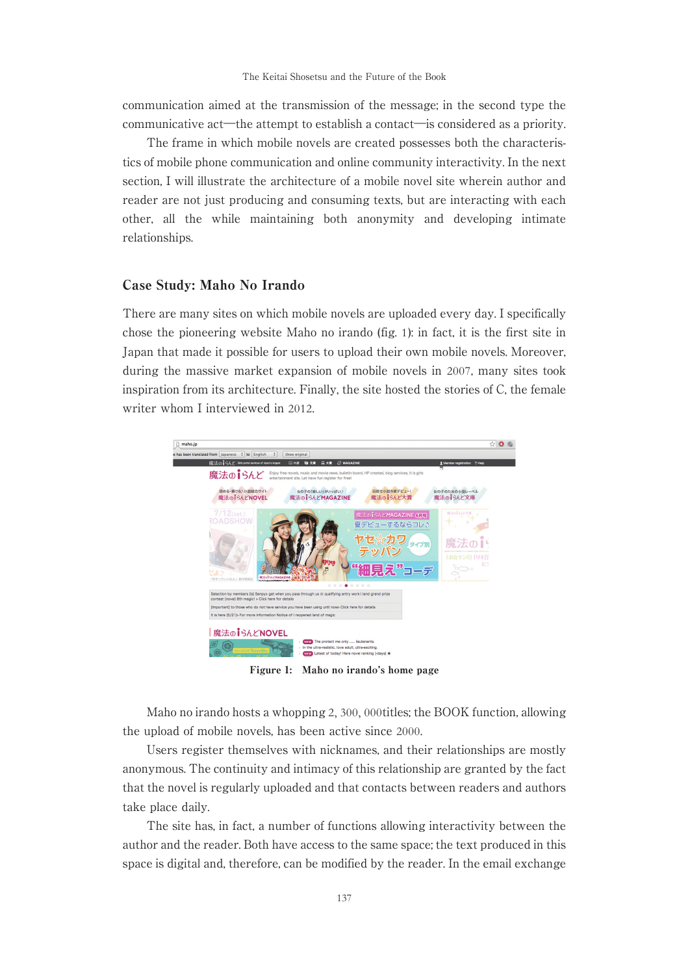communication aimed at the transmission of the message; in the second type the communicative act―the attempt to establish a contact―is considered as a priority.

The frame in which mobile novels are created possesses both the characteristics of mobile phone communication and online community interactivity. In the next section, I will illustrate the architecture of a mobile novel site wherein author and reader are not just producing and consuming texts, but are interacting with each other, all the while maintaining both anonymity and developing intimate relationships.

## Case Study: Maho No Irando

There are many sites on which mobile novels are uploaded every day. I specifically chose the pioneering website Maho no irando (fig. 1): in fact, it is the first site in Japan that made it possible for users to upload their own mobile novels. Moreover, during the massive market expansion of mobile novels in 2007, many sites took inspiration from its architecture. Finally, the site hosted the stories of C, the female writer whom I interviewed in 2012.



Figure 1: Maho no irando's home page

Maho no irando hosts a whopping 2, 300, 000titles; the BOOK function, allowing the upload of mobile novels, has been active since 2000.

Users register themselves with nicknames, and their relationships are mostly anonymous. The continuity and intimacy of this relationship are granted by the fact that the novel is regularly uploaded and that contacts between readers and authors take place daily.

The site has, in fact, a number of functions allowing interactivity between the author and the reader. Both have access to the same space; the text produced in this space is digital and, therefore, can be modified by the reader. In the email exchange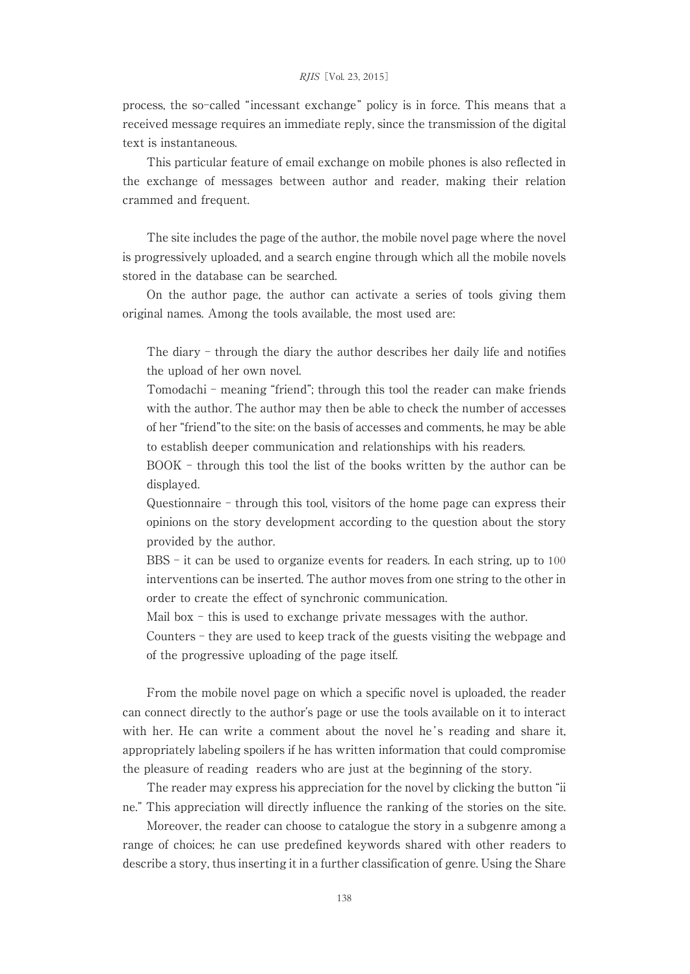#### RJIS[Vol. 23, 2015]

process, the so-called "incessant exchange" policy is in force. This means that a received message requires an immediate reply, since the transmission of the digital text is instantaneous.

This particular feature of email exchange on mobile phones is also reflected in the exchange of messages between author and reader, making their relation crammed and frequent.

The site includes the page of the author, the mobile novel page where the novel is progressively uploaded, and a search engine through which all the mobile novels stored in the database can be searched.

On the author page, the author can activate a series of tools giving them original names. Among the tools available, the most used are:

The diary - through the diary the author describes her daily life and notifies the upload of her own novel.

Tomodachi - meaning "friend"; through this tool the reader can make friends with the author. The author may then be able to check the number of accesses of her "friend"to the site: on the basis of accesses and comments, he may be able to establish deeper communication and relationships with his readers.

BOOK - through this tool the list of the books written by the author can be displayed.

Questionnaire - through this tool, visitors of the home page can express their opinions on the story development according to the question about the story provided by the author.

BBS - it can be used to organize events for readers. In each string, up to 100 interventions can be inserted. The author moves from one string to the other in order to create the effect of synchronic communication.

Mail box - this is used to exchange private messages with the author.

Counters - they are used to keep track of the guests visiting the webpage and of the progressive uploading of the page itself.

From the mobile novel page on which a specific novel is uploaded, the reader can connect directly to the author's page or use the tools available on it to interact with her. He can write a comment about the novel he's reading and share it, appropriately labeling spoilers if he has written information that could compromise the pleasure of reading readers who are just at the beginning of the story.

The reader may express his appreciation for the novel by clicking the button "ii ne." This appreciation will directly influence the ranking of the stories on the site.

Moreover, the reader can choose to catalogue the story in a subgenre among a range of choices; he can use predefined keywords shared with other readers to describe a story, thus inserting it in a further classification of genre. Using the Share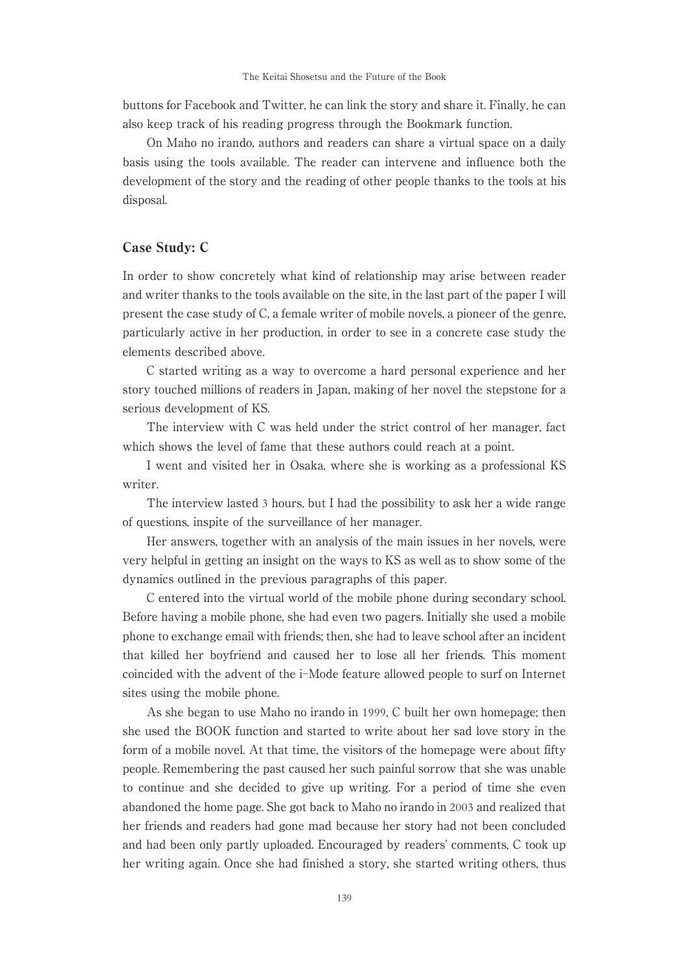buttons for Facebook and Twitter, he can link the story and share it. Finally, he can also keep track of his reading progress through the Bookmark function.

On Maho no irando, authors and readers can share a virtual space on a daily basis using the tools available. The reader can intervene and influence both the development of the story and the reading of other people thanks to the tools at his disposal.

## Case Study: C

In order to show concretely what kind of relationship may arise between reader and writer thanks to the tools available on the site, in the last part of the paper I will present the case study of C, a female writer of mobile novels, a pioneer of the genre, particularly active in her production, in order to see in a concrete case study the elements described above.

C started writing as a way to overcome a hard personal experience and her story touched millions of readers in Japan, making of her novel the stepstone for a serious development of KS.

The interview with C was held under the strict control of her manager, fact which shows the level of fame that these authors could reach at a point.

I went and visited her in Osaka, where she is working as a professional KS writer.

The interview lasted 3 hours, but I had the possibility to ask her a wide range of questions, inspite of the surveillance of her manager.

Her answers, together with an analysis of the main issues in her novels, were very helpful in getting an insight on the ways to KS as well as to show some of the dynamics outlined in the previous paragraphs of this paper.

C entered into the virtual world of the mobile phone during secondary school. Before having a mobile phone, she had even two pagers. Initially she used a mobile phone to exchange email with friends; then, she had to leave school after an incident that killed her boyfriend and caused her to lose all her friends. This moment coincided with the advent of the i-Mode feature allowed people to surf on Internet sites using the mobile phone.

As she began to use Maho no irando in 1999, C built her own homepage; then she used the BOOK function and started to write about her sad love story in the form of a mobile novel. At that time, the visitors of the homepage were about fifty people. Remembering the past caused her such painful sorrow that she was unable to continue and she decided to give up writing. For a period of time she even abandoned the home page. She got back to Maho no irando in 2003 and realized that her friends and readers had gone mad because her story had not been concluded and had been only partly uploaded. Encouraged by readers' comments, C took up her writing again. Once she had finished a story, she started writing others, thus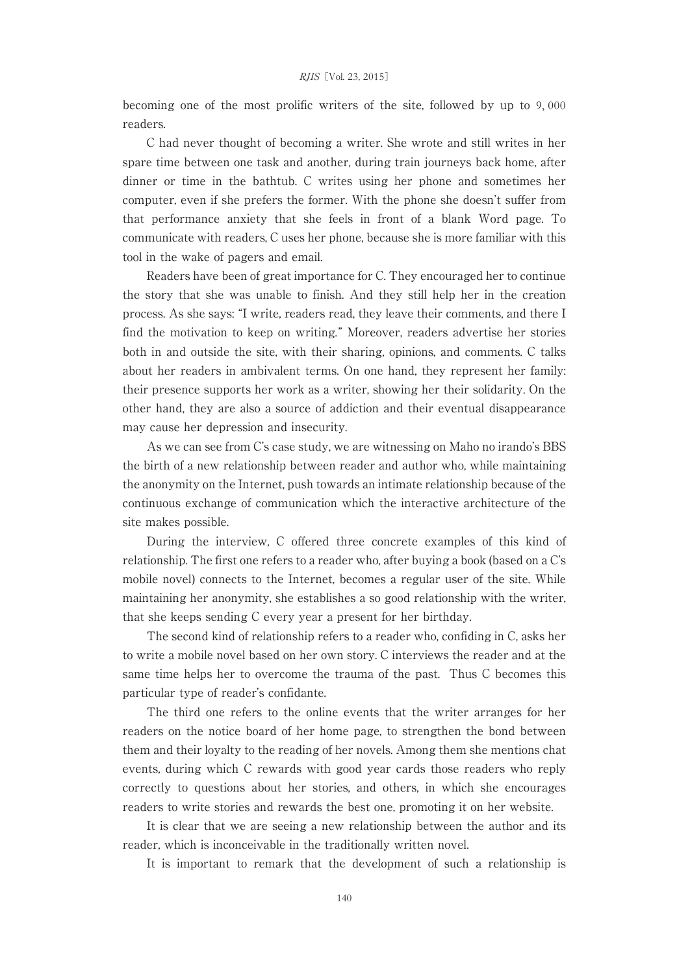becoming one of the most prolific writers of the site, followed by up to 9, 000 readers.

C had never thought of becoming a writer. She wrote and still writes in her spare time between one task and another, during train journeys back home, after dinner or time in the bathtub. C writes using her phone and sometimes her computer, even if she prefers the former. With the phone she doesn't suffer from that performance anxiety that she feels in front of a blank Word page. To communicate with readers, C uses her phone, because she is more familiar with this tool in the wake of pagers and email.

Readers have been of great importance for C. They encouraged her to continue the story that she was unable to finish. And they still help her in the creation process. As she says: "I write, readers read, they leave their comments, and there I find the motivation to keep on writing." Moreover, readers advertise her stories both in and outside the site, with their sharing, opinions, and comments. C talks about her readers in ambivalent terms. On one hand, they represent her family: their presence supports her work as a writer, showing her their solidarity. On the other hand, they are also a source of addiction and their eventual disappearance may cause her depression and insecurity.

As we can see from C's case study, we are witnessing on Maho no irando's BBS the birth of a new relationship between reader and author who, while maintaining the anonymity on the Internet, push towards an intimate relationship because of the continuous exchange of communication which the interactive architecture of the site makes possible.

During the interview, C offered three concrete examples of this kind of relationship. The first one refers to a reader who, after buying a book (based on a C's mobile novel) connects to the Internet, becomes a regular user of the site. While maintaining her anonymity, she establishes a so good relationship with the writer, that she keeps sending C every year a present for her birthday.

The second kind of relationship refers to a reader who, confiding in C, asks her to write a mobile novel based on her own story. C interviews the reader and at the same time helps her to overcome the trauma of the past. Thus C becomes this particular type of reader's confidante.

The third one refers to the online events that the writer arranges for her readers on the notice board of her home page, to strengthen the bond between them and their loyalty to the reading of her novels. Among them she mentions chat events, during which C rewards with good year cards those readers who reply correctly to questions about her stories, and others, in which she encourages readers to write stories and rewards the best one, promoting it on her website.

It is clear that we are seeing a new relationship between the author and its reader, which is inconceivable in the traditionally written novel.

It is important to remark that the development of such a relationship is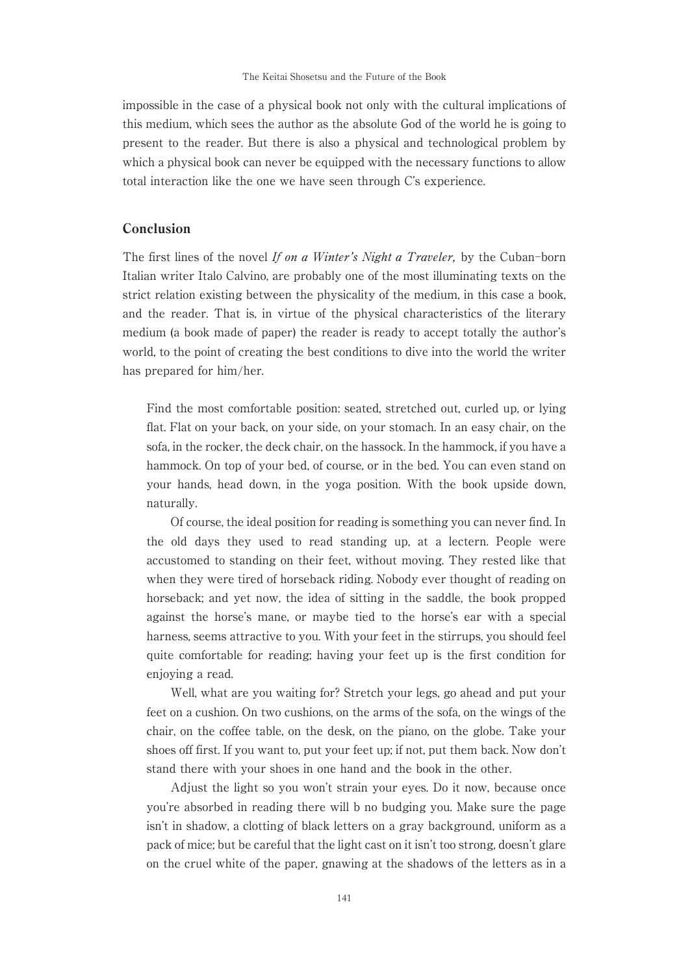impossible in the case of a physical book not only with the cultural implications of this medium, which sees the author as the absolute God of the world he is going to present to the reader. But there is also a physical and technological problem by which a physical book can never be equipped with the necessary functions to allow total interaction like the one we have seen through C's experience.

## Conclusion

The first lines of the novel If on a Winter's Night a Traveler, by the Cuban-born Italian writer Italo Calvino, are probably one of the most illuminating texts on the strict relation existing between the physicality of the medium, in this case a book, and the reader. That is, in virtue of the physical characteristics of the literary medium (a book made of paper) the reader is ready to accept totally the author's world, to the point of creating the best conditions to dive into the world the writer has prepared for him/her.

Find the most comfortable position: seated, stretched out, curled up, or lying flat. Flat on your back, on your side, on your stomach. In an easy chair, on the sofa, in the rocker, the deck chair, on the hassock. In the hammock, if you have a hammock. On top of your bed, of course, or in the bed. You can even stand on your hands, head down, in the yoga position. With the book upside down, naturally.

Of course, the ideal position for reading is something you can never find. In the old days they used to read standing up, at a lectern. People were accustomed to standing on their feet, without moving. They rested like that when they were tired of horseback riding. Nobody ever thought of reading on horseback; and yet now, the idea of sitting in the saddle, the book propped against the horse's mane, or maybe tied to the horse's ear with a special harness, seems attractive to you. With your feet in the stirrups, you should feel quite comfortable for reading; having your feet up is the first condition for enjoying a read.

Well, what are you waiting for? Stretch your legs, go ahead and put your feet on a cushion. On two cushions, on the arms of the sofa, on the wings of the chair, on the coffee table, on the desk, on the piano, on the globe. Take your shoes off first. If you want to, put your feet up; if not, put them back. Now don't stand there with your shoes in one hand and the book in the other.

Adjust the light so you won't strain your eyes. Do it now, because once you're absorbed in reading there will b no budging you. Make sure the page isn't in shadow, a clotting of black letters on a gray background, uniform as a pack of mice; but be careful that the light cast on it isn't too strong, doesn't glare on the cruel white of the paper, gnawing at the shadows of the letters as in a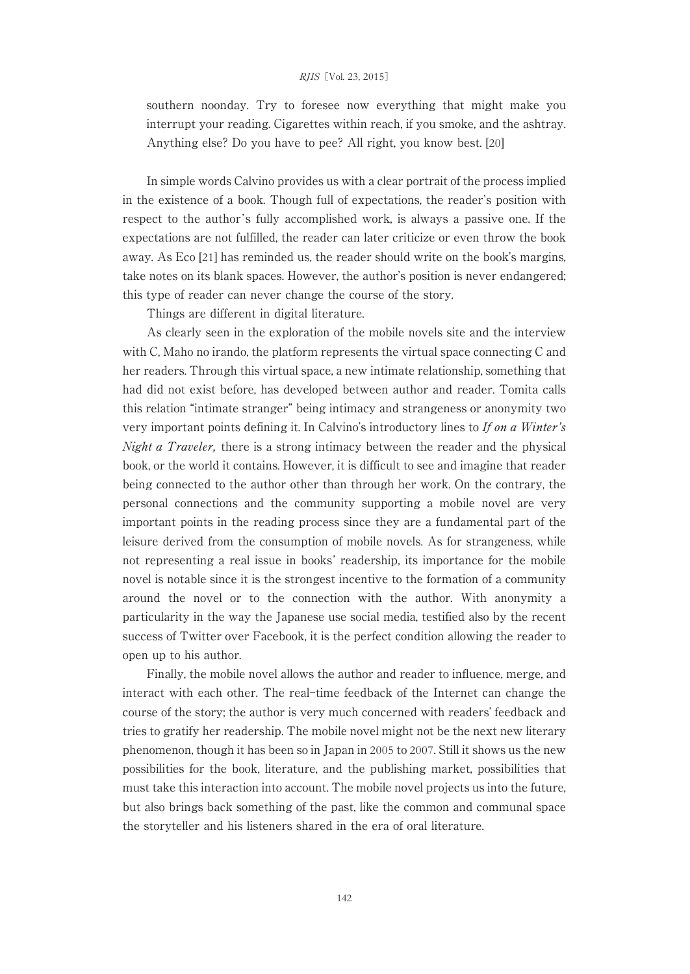#### RJIS[Vol. 23, 2015]

southern noonday. Try to foresee now everything that might make you interrupt your reading. Cigarettes within reach, if you smoke, and the ashtray. Anything else? Do you have to pee? All right, you know best. [20]

In simple words Calvino provides us with a clear portrait of the process implied in the existence of a book. Though full of expectations, the reader's position with respect to the author 's fully accomplished work, is always a passive one. If the expectations are not fulfilled, the reader can later criticize or even throw the book away. As Eco [21] has reminded us, the reader should write on the book's margins, take notes on its blank spaces. However, the author's position is never endangered; this type of reader can never change the course of the story.

Things are different in digital literature.

As clearly seen in the exploration of the mobile novels site and the interview with C, Maho no irando, the platform represents the virtual space connecting C and her readers. Through this virtual space, a new intimate relationship, something that had did not exist before, has developed between author and reader. Tomita calls this relation "intimate stranger" being intimacy and strangeness or anonymity two very important points defining it. In Calvino's introductory lines to If on a Winter's Night a Traveler, there is a strong intimacy between the reader and the physical book, or the world it contains. However, it is difficult to see and imagine that reader being connected to the author other than through her work. On the contrary, the personal connections and the community supporting a mobile novel are very important points in the reading process since they are a fundamental part of the leisure derived from the consumption of mobile novels. As for strangeness, while not representing a real issue in books' readership, its importance for the mobile novel is notable since it is the strongest incentive to the formation of a community around the novel or to the connection with the author. With anonymity a particularity in the way the Japanese use social media, testified also by the recent success of Twitter over Facebook, it is the perfect condition allowing the reader to open up to his author.

Finally, the mobile novel allows the author and reader to influence, merge, and interact with each other. The real-time feedback of the Internet can change the course of the story; the author is very much concerned with readers' feedback and tries to gratify her readership. The mobile novel might not be the next new literary phenomenon, though it has been so in Japan in 2005 to 2007. Still it shows us the new possibilities for the book, literature, and the publishing market, possibilities that must take this interaction into account. The mobile novel projects us into the future, but also brings back something of the past, like the common and communal space the storyteller and his listeners shared in the era of oral literature.